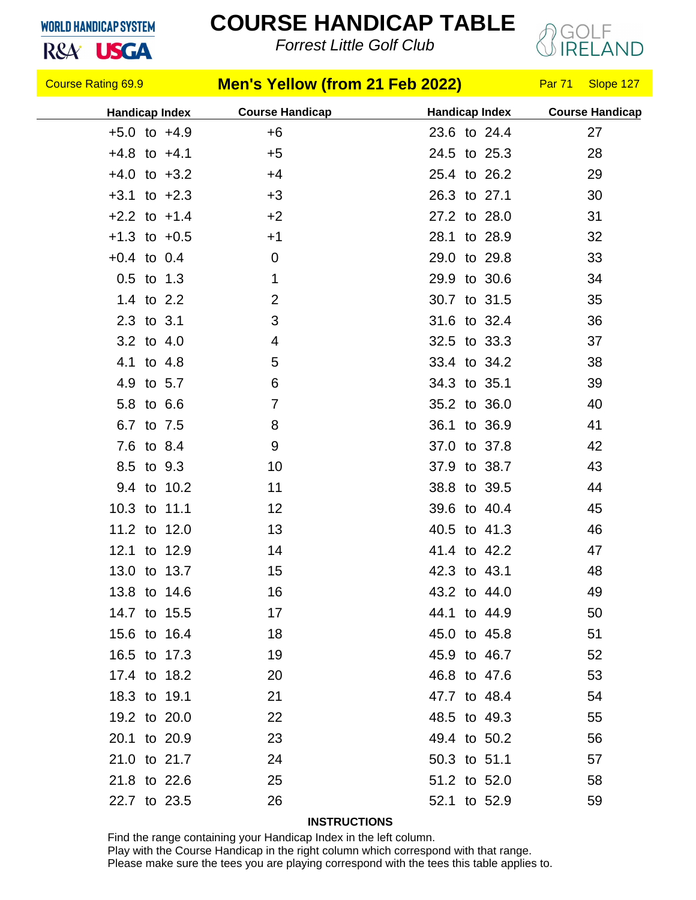## **WORLD HANDICAP SYSTEM**

R&A<sup>'</sup> USGA

## **COURSE HANDICAP TABLE**

*Forrest Little Golf Club*



| <b>Course Rating 69.9</b> |  |             | <b>Men's Yellow (from 21 Feb 2022)</b> |                       | Par 71 | Slope 127              |  |
|---------------------------|--|-------------|----------------------------------------|-----------------------|--------|------------------------|--|
| <b>Handicap Index</b>     |  |             | <b>Course Handicap</b>                 | <b>Handicap Index</b> |        | <b>Course Handicap</b> |  |
| $+5.0$ to $+4.9$          |  |             | $+6$                                   | 23.6 to 24.4          |        | 27                     |  |
| $+4.8$ to $+4.1$          |  |             | $+5$                                   | 24.5 to 25.3          |        | 28                     |  |
| $+4.0$ to $+3.2$          |  |             | $+4$                                   | 25.4 to 26.2          |        | 29                     |  |
| $+3.1$ to $+2.3$          |  |             | $+3$                                   | 26.3 to 27.1          |        | 30                     |  |
| $+2.2$ to $+1.4$          |  |             | $+2$                                   | 27.2 to 28.0          |        | 31                     |  |
| $+1.3$ to $+0.5$          |  |             | $+1$                                   | 28.1 to 28.9          |        | 32                     |  |
| $+0.4$ to 0.4             |  |             | 0                                      | 29.0 to 29.8          |        | 33                     |  |
| $0.5$ to 1.3              |  |             | 1                                      | 29.9 to 30.6          |        | 34                     |  |
| 1.4 to 2.2                |  |             | $\overline{2}$                         | 30.7 to 31.5          |        | 35                     |  |
| 2.3 to 3.1                |  |             | 3                                      | 31.6 to 32.4          |        | 36                     |  |
| 3.2 to 4.0                |  |             | 4                                      | 32.5 to 33.3          |        | 37                     |  |
| 4.1 to 4.8                |  |             | 5                                      | 33.4 to 34.2          |        | 38                     |  |
| 4.9 to 5.7                |  |             | 6                                      | 34.3 to 35.1          |        | 39                     |  |
| 5.8 to 6.6                |  |             | 7                                      | 35.2 to 36.0          |        | 40                     |  |
| 6.7 to 7.5                |  |             | 8                                      | 36.1 to 36.9          |        | 41                     |  |
| 7.6 to 8.4                |  |             | 9                                      | 37.0 to 37.8          |        | 42                     |  |
| 8.5 to 9.3                |  |             | 10                                     | 37.9 to 38.7          |        | 43                     |  |
|                           |  | 9.4 to 10.2 | 11                                     | 38.8 to 39.5          |        | 44                     |  |
| 10.3 to 11.1              |  |             | 12                                     | 39.6 to 40.4          |        | 45                     |  |
| 11.2 to 12.0              |  |             | 13                                     | 40.5 to 41.3          |        | 46                     |  |
| 12.1 to 12.9              |  |             | 14                                     | 41.4 to 42.2          |        | 47                     |  |
| 13.0 to 13.7              |  |             | 15                                     | 42.3 to 43.1          |        | 48                     |  |
| 13.8 to 14.6              |  |             | 16                                     | 43.2 to 44.0          |        | 49                     |  |
| 14.7 to 15.5              |  |             | 17                                     | 44.1 to 44.9          |        | 50                     |  |
| 15.6 to 16.4              |  |             | 18                                     | 45.0 to 45.8          |        | 51                     |  |
| 16.5 to 17.3              |  |             | 19                                     | 45.9 to 46.7          |        | 52                     |  |
| 17.4 to 18.2              |  |             | 20                                     | 46.8 to 47.6          |        | 53                     |  |
| 18.3 to 19.1              |  |             | 21                                     | 47.7 to 48.4          |        | 54                     |  |
| 19.2 to 20.0              |  |             | 22                                     | 48.5 to 49.3          |        | 55                     |  |
| 20.1 to 20.9              |  |             | 23                                     | 49.4 to 50.2          |        | 56                     |  |
| 21.0 to 21.7              |  |             | 24                                     | 50.3 to 51.1          |        | 57                     |  |
| 21.8 to 22.6              |  |             | 25                                     | 51.2 to 52.0          |        | 58                     |  |
| 22.7 to 23.5              |  |             | 26                                     | 52.1 to 52.9          |        | 59                     |  |

## **INSTRUCTIONS**

Find the range containing your Handicap Index in the left column. Play with the Course Handicap in the right column which correspond with that range. Please make sure the tees you are playing correspond with the tees this table applies to.